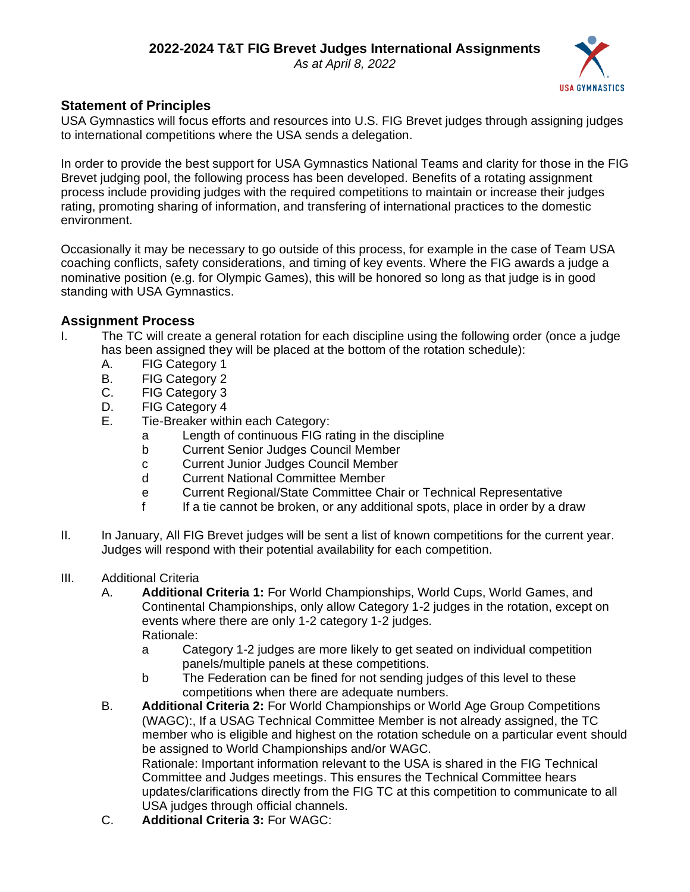*As at April 8, 2022*



## **Statement of Principles**

USA Gymnastics will focus efforts and resources into U.S. FIG Brevet judges through assigning judges to international competitions where the USA sends a delegation.

In order to provide the best support for USA Gymnastics National Teams and clarity for those in the FIG Brevet judging pool, the following process has been developed. Benefits of a rotating assignment process include providing judges with the required competitions to maintain or increase their judges rating, promoting sharing of information, and transfering of international practices to the domestic environment.

Occasionally it may be necessary to go outside of this process, for example in the case of Team USA coaching conflicts, safety considerations, and timing of key events. Where the FIG awards a judge a nominative position (e.g. for Olympic Games), this will be honored so long as that judge is in good standing with USA Gymnastics.

## **Assignment Process**

- I. The TC will create a general rotation for each discipline using the following order (once a judge has been assigned they will be placed at the bottom of the rotation schedule):
	- A. FIG Category 1
	- B. FIG Category 2
	- C. FIG Category 3
	- D. FIG Category 4
	- E. Tie-Breaker within each Category:
		- a Length of continuous FIG rating in the discipline
		- b Current Senior Judges Council Member
		- c Current Junior Judges Council Member
		- d Current National Committee Member
		- e Current Regional/State Committee Chair or Technical Representative
		- f If a tie cannot be broken, or any additional spots, place in order by a draw
- II. In January, All FIG Brevet judges will be sent a list of known competitions for the current year. Judges will respond with their potential availability for each competition.
- III. Additional Criteria
	- A. **Additional Criteria 1:** For World Championships, World Cups, World Games, and Continental Championships, only allow Category 1-2 judges in the rotation, except on events where there are only 1-2 category 1-2 judges. Rationale:
		- a Category 1-2 judges are more likely to get seated on individual competition panels/multiple panels at these competitions.
		- b The Federation can be fined for not sending judges of this level to these competitions when there are adequate numbers.
	- B. **Additional Criteria 2:** For World Championships or World Age Group Competitions (WAGC):, If a USAG Technical Committee Member is not already assigned, the TC member who is eligible and highest on the rotation schedule on a particular event should be assigned to World Championships and/or WAGC. Rationale: Important information relevant to the USA is shared in the FIG Technical Committee and Judges meetings. This ensures the Technical Committee hears updates/clarifications directly from the FIG TC at this competition to communicate to all USA judges through official channels.
	- C. **Additional Criteria 3:** For WAGC: